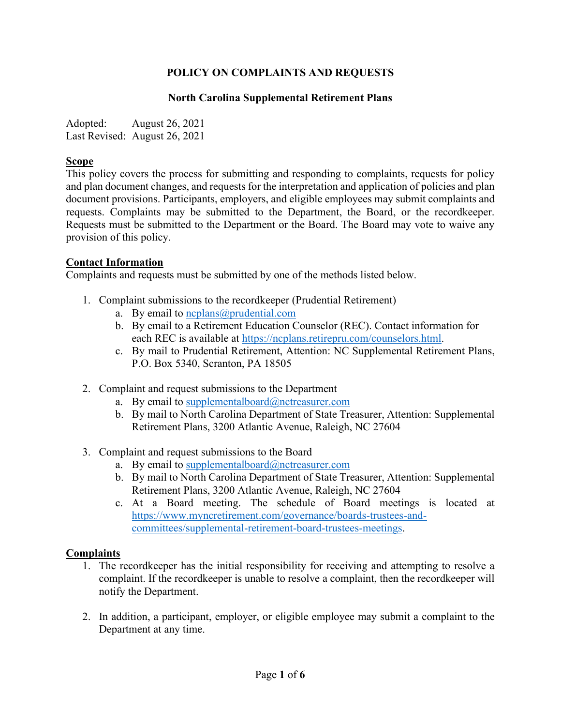# **POLICY ON COMPLAINTS AND REQUESTS**

#### **North Carolina Supplemental Retirement Plans**

Adopted: August 26, 2021 Last Revised: August 26, 2021

#### **Scope**

This policy covers the process for submitting and responding to complaints, requests for policy and plan document changes, and requests for the interpretation and application of policies and plan document provisions. Participants, employers, and eligible employees may submit complaints and requests. Complaints may be submitted to the Department, the Board, or the recordkeeper. Requests must be submitted to the Department or the Board. The Board may vote to waive any provision of this policy.

#### **Contact Information**

Complaints and requests must be submitted by one of the methods listed below.

- 1. Complaint submissions to the recordkeeper (Prudential Retirement)
	- a. By email to  $ncplass@prudential.com$ 
		- b. By email to a Retirement Education Counselor (REC). Contact information for each REC is available at [https://ncplans.retirepru.com/counselors.html.](https://ncplans.retirepru.com/counselors.html)
		- c. By mail to Prudential Retirement, Attention: NC Supplemental Retirement Plans, P.O. Box 5340, Scranton, PA 18505
- 2. Complaint and request submissions to the Department
	- a. By email to supplementalboard $@$ nctreasurer.com
	- b. By mail to North Carolina Department of State Treasurer, Attention: Supplemental Retirement Plans, 3200 Atlantic Avenue, Raleigh, NC 27604
- 3. Complaint and request submissions to the Board
	- a. By email to supplementalboard $@n$ ctreasurer.com
	- b. By mail to North Carolina Department of State Treasurer, Attention: Supplemental Retirement Plans, 3200 Atlantic Avenue, Raleigh, NC 27604
	- c. At a Board meeting. The schedule of Board meetings is located at [https://www.myncretirement.com/governance/boards-trustees-and](https://www.myncretirement.com/governance/boards-trustees-and-committees/supplemental-retirement-board-trustees-meetings)[committees/supplemental-retirement-board-trustees-meetings.](https://www.myncretirement.com/governance/boards-trustees-and-committees/supplemental-retirement-board-trustees-meetings)

## **Complaints**

- 1. The recordkeeper has the initial responsibility for receiving and attempting to resolve a complaint. If the recordkeeper is unable to resolve a complaint, then the recordkeeper will notify the Department.
- 2. In addition, a participant, employer, or eligible employee may submit a complaint to the Department at any time.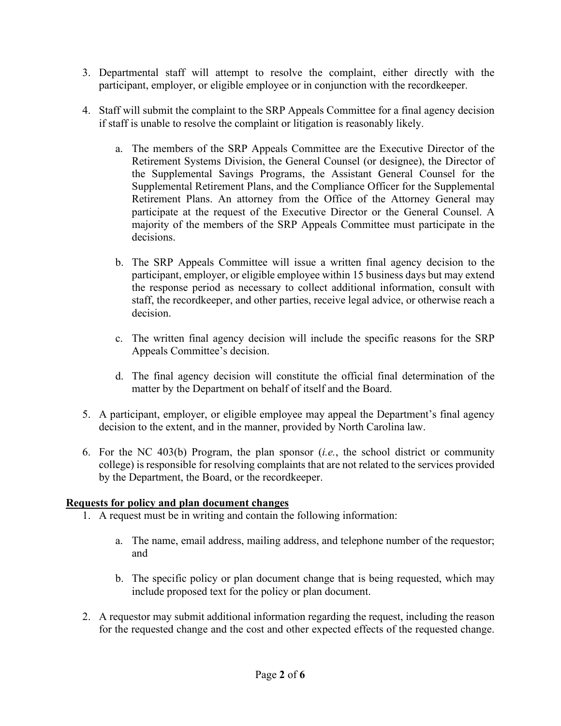- 3. Departmental staff will attempt to resolve the complaint, either directly with the participant, employer, or eligible employee or in conjunction with the recordkeeper.
- 4. Staff will submit the complaint to the SRP Appeals Committee for a final agency decision if staff is unable to resolve the complaint or litigation is reasonably likely.
	- a. The members of the SRP Appeals Committee are the Executive Director of the Retirement Systems Division, the General Counsel (or designee), the Director of the Supplemental Savings Programs, the Assistant General Counsel for the Supplemental Retirement Plans, and the Compliance Officer for the Supplemental Retirement Plans. An attorney from the Office of the Attorney General may participate at the request of the Executive Director or the General Counsel. A majority of the members of the SRP Appeals Committee must participate in the decisions.
	- b. The SRP Appeals Committee will issue a written final agency decision to the participant, employer, or eligible employee within 15 business days but may extend the response period as necessary to collect additional information, consult with staff, the recordkeeper, and other parties, receive legal advice, or otherwise reach a decision.
	- c. The written final agency decision will include the specific reasons for the SRP Appeals Committee's decision.
	- d. The final agency decision will constitute the official final determination of the matter by the Department on behalf of itself and the Board.
- 5. A participant, employer, or eligible employee may appeal the Department's final agency decision to the extent, and in the manner, provided by North Carolina law.
- 6. For the NC 403(b) Program, the plan sponsor (*i.e.*, the school district or community college) is responsible for resolving complaints that are not related to the services provided by the Department, the Board, or the recordkeeper.

## **Requests for policy and plan document changes**

- 1. A request must be in writing and contain the following information:
	- a. The name, email address, mailing address, and telephone number of the requestor; and
	- b. The specific policy or plan document change that is being requested, which may include proposed text for the policy or plan document.
- 2. A requestor may submit additional information regarding the request, including the reason for the requested change and the cost and other expected effects of the requested change.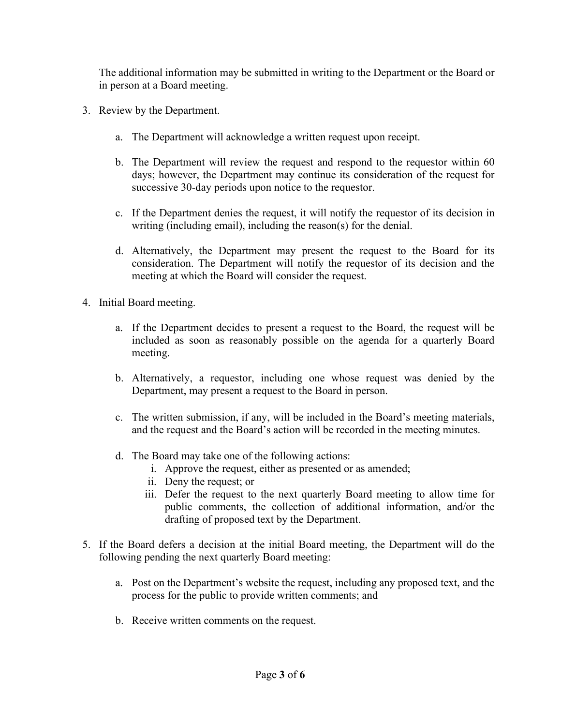The additional information may be submitted in writing to the Department or the Board or in person at a Board meeting.

- 3. Review by the Department.
	- a. The Department will acknowledge a written request upon receipt.
	- b. The Department will review the request and respond to the requestor within 60 days; however, the Department may continue its consideration of the request for successive 30-day periods upon notice to the requestor.
	- c. If the Department denies the request, it will notify the requestor of its decision in writing (including email), including the reason(s) for the denial.
	- d. Alternatively, the Department may present the request to the Board for its consideration. The Department will notify the requestor of its decision and the meeting at which the Board will consider the request.
- 4. Initial Board meeting.
	- a. If the Department decides to present a request to the Board, the request will be included as soon as reasonably possible on the agenda for a quarterly Board meeting.
	- b. Alternatively, a requestor, including one whose request was denied by the Department, may present a request to the Board in person.
	- c. The written submission, if any, will be included in the Board's meeting materials, and the request and the Board's action will be recorded in the meeting minutes.
	- d. The Board may take one of the following actions:
		- i. Approve the request, either as presented or as amended;
		- ii. Deny the request; or
		- iii. Defer the request to the next quarterly Board meeting to allow time for public comments, the collection of additional information, and/or the drafting of proposed text by the Department.
- 5. If the Board defers a decision at the initial Board meeting, the Department will do the following pending the next quarterly Board meeting:
	- a. Post on the Department's website the request, including any proposed text, and the process for the public to provide written comments; and
	- b. Receive written comments on the request.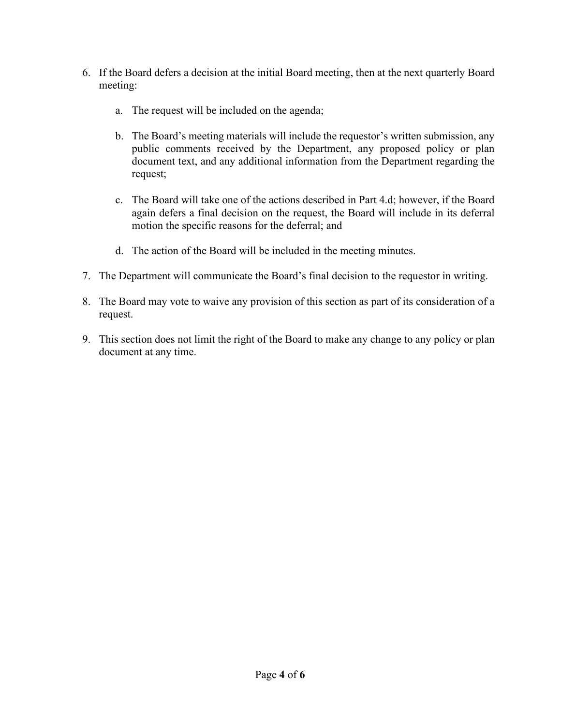- 6. If the Board defers a decision at the initial Board meeting, then at the next quarterly Board meeting:
	- a. The request will be included on the agenda;
	- b. The Board's meeting materials will include the requestor's written submission, any public comments received by the Department, any proposed policy or plan document text, and any additional information from the Department regarding the request;
	- c. The Board will take one of the actions described in Part 4.d; however, if the Board again defers a final decision on the request, the Board will include in its deferral motion the specific reasons for the deferral; and
	- d. The action of the Board will be included in the meeting minutes.
- 7. The Department will communicate the Board's final decision to the requestor in writing.
- 8. The Board may vote to waive any provision of this section as part of its consideration of a request.
- 9. This section does not limit the right of the Board to make any change to any policy or plan document at any time.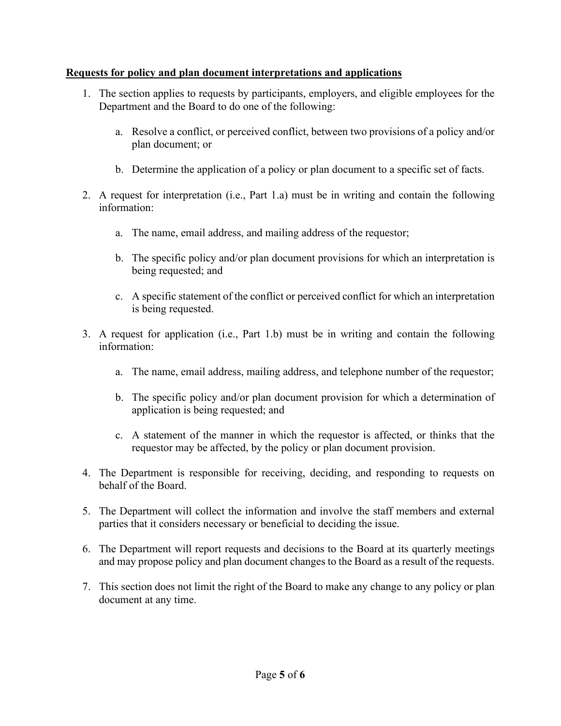# **Requests for policy and plan document interpretations and applications**

- 1. The section applies to requests by participants, employers, and eligible employees for the Department and the Board to do one of the following:
	- a. Resolve a conflict, or perceived conflict, between two provisions of a policy and/or plan document; or
	- b. Determine the application of a policy or plan document to a specific set of facts.
- 2. A request for interpretation (i.e., Part 1.a) must be in writing and contain the following information:
	- a. The name, email address, and mailing address of the requestor;
	- b. The specific policy and/or plan document provisions for which an interpretation is being requested; and
	- c. A specific statement of the conflict or perceived conflict for which an interpretation is being requested.
- 3. A request for application (i.e., Part 1.b) must be in writing and contain the following information:
	- a. The name, email address, mailing address, and telephone number of the requestor;
	- b. The specific policy and/or plan document provision for which a determination of application is being requested; and
	- c. A statement of the manner in which the requestor is affected, or thinks that the requestor may be affected, by the policy or plan document provision.
- 4. The Department is responsible for receiving, deciding, and responding to requests on behalf of the Board.
- 5. The Department will collect the information and involve the staff members and external parties that it considers necessary or beneficial to deciding the issue.
- 6. The Department will report requests and decisions to the Board at its quarterly meetings and may propose policy and plan document changes to the Board as a result of the requests.
- 7. This section does not limit the right of the Board to make any change to any policy or plan document at any time.